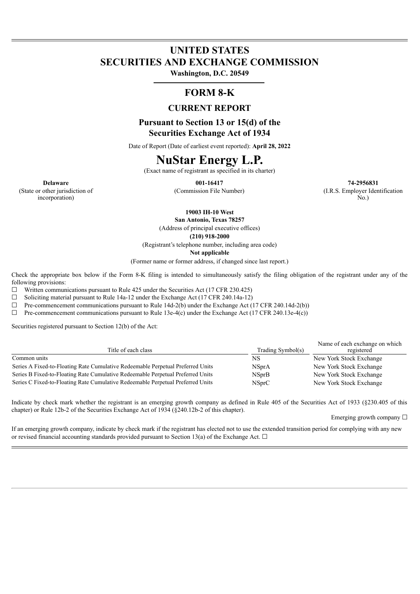# **UNITED STATES SECURITIES AND EXCHANGE COMMISSION**

**Washington, D.C. 20549**

### **FORM 8-K**

### **CURRENT REPORT**

**Pursuant to Section 13 or 15(d) of the Securities Exchange Act of 1934**

Date of Report (Date of earliest event reported): **April 28, 2022**

## **NuStar Energy L.P.**

(Exact name of registrant as specified in its charter)

**Delaware 001-16417 74-2956831** (Commission File Number) (I.R.S. Employer Identification No.)

(State or other jurisdiction of incorporation)

**19003 IH-10 West**

**San Antonio, Texas 78257** (Address of principal executive offices)

**(210) 918-2000**

(Registrant's telephone number, including area code)

**Not applicable**

(Former name or former address, if changed since last report.)

Check the appropriate box below if the Form 8-K filing is intended to simultaneously satisfy the filing obligation of the registrant under any of the following provisions:

 $\Box$  Written communications pursuant to Rule 425 under the Securities Act (17 CFR 230.425)

☐ Soliciting material pursuant to Rule 14a-12 under the Exchange Act (17 CFR 240.14a-12)

 $\Box$  Pre-commencement communications pursuant to Rule 14d-2(b) under the Exchange Act (17 CFR 240.14d-2(b))

 $\Box$  Pre-commencement communications pursuant to Rule 13e-4(c) under the Exchange Act (17 CFR 240.13e-4(c))

Securities registered pursuant to Section 12(b) of the Act:

| Title of each class                                                             | Trading Symbol(s) | Name of each exchange on which<br>registered |
|---------------------------------------------------------------------------------|-------------------|----------------------------------------------|
| Common units                                                                    | NS                | New York Stock Exchange                      |
| Series A Fixed-to-Floating Rate Cumulative Redeemable Perpetual Preferred Units | <b>NSprA</b>      | New York Stock Exchange                      |
| Series B Fixed-to-Floating Rate Cumulative Redeemable Perpetual Preferred Units | <b>NSprB</b>      | New York Stock Exchange                      |
| Series C Fixed-to-Floating Rate Cumulative Redeemable Perpetual Preferred Units | NSprC             | New York Stock Exchange                      |

Indicate by check mark whether the registrant is an emerging growth company as defined in Rule 405 of the Securities Act of 1933 (§230.405 of this chapter) or Rule 12b-2 of the Securities Exchange Act of 1934 (§240.12b-2 of this chapter).

Emerging growth company ☐

If an emerging growth company, indicate by check mark if the registrant has elected not to use the extended transition period for complying with any new or revised financial accounting standards provided pursuant to Section 13(a) of the Exchange Act.  $\Box$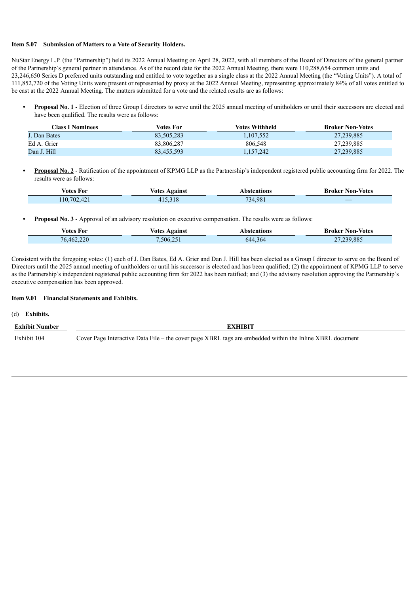#### **Item 5.07 Submission of Matters to a Vote of Security Holders.**

NuStar Energy L.P. (the "Partnership") held its 2022 Annual Meeting on April 28, 2022, with all members of the Board of Directors of the general partner of the Partnership's general partner in attendance. As of the record date for the 2022 Annual Meeting, there were 110,288,654 common units and 23,246,650 Series D preferred units outstanding and entitled to vote together as a single class at the 2022 Annual Meeting (the "Voting Units"). A total of 111,852,720 of the Voting Units were present or represented by proxy at the 2022 Annual Meeting, representing approximately 84% of all votes entitled to be cast at the 2022 Annual Meeting. The matters submitted for a vote and the related results are as follows:

**• Proposal No. 1** - Election of three Group I directors to serve until the 2025 annual meeting of unitholders or until their successors are elected and have been qualified. The results were as follows:

| <b>Class I Nominees</b> | Votes For  | <b>Votes Withheld</b> | <b>Broker Non-Votes</b> |
|-------------------------|------------|-----------------------|-------------------------|
| J. Dan Bates            | 83.505.283 | 1,107,552             | 27,239,885              |
| Ed A. Grier             | 83.806.287 | 806.548               | 27,239,885              |
| Dan J. Hill             | 83,455,593 | 1,157,242             | 27,239,885              |

**• Proposal No. 2** - Ratification of the appointment of KPMG LLP as the Partnership's independent registered public accounting firm for 2022. The results were as follows:

| <b>Votes For</b> | <b>Votes Against</b> | Abstentions | <b>Broker Non-Votes</b> |
|------------------|----------------------|-------------|-------------------------|
| 110,702,421      | 415.318              | 734,981     |                         |

**• Proposal No. 3** - Approval of an advisory resolution on executive compensation. The results were as follows:

| <b>Votes For</b> | Votes Against | Abstentions | <b>Broker Non-Votes</b> |
|------------------|---------------|-------------|-------------------------|
| 76,462,220       | 506,251       | 644,364     | 27,239,885              |

Consistent with the foregoing votes: (1) each of J. Dan Bates, Ed A. Grier and Dan J. Hill has been elected as a Group I director to serve on the Board of Directors until the 2025 annual meeting of unitholders or until his successor is elected and has been qualified; (2) the appointment of KPMG LLP to serve as the Partnership's independent registered public accounting firm for 2022 has been ratified; and (3) the advisory resolution approving the Partnership's executive compensation has been approved.

#### **Item 9.01 Financial Statements and Exhibits.**

(d) **Exhibits.**

**Exhibit Number EXHIBIT**

Exhibit 104 Cover Page Interactive Data File – the cover page XBRL tags are embedded within the Inline XBRL document